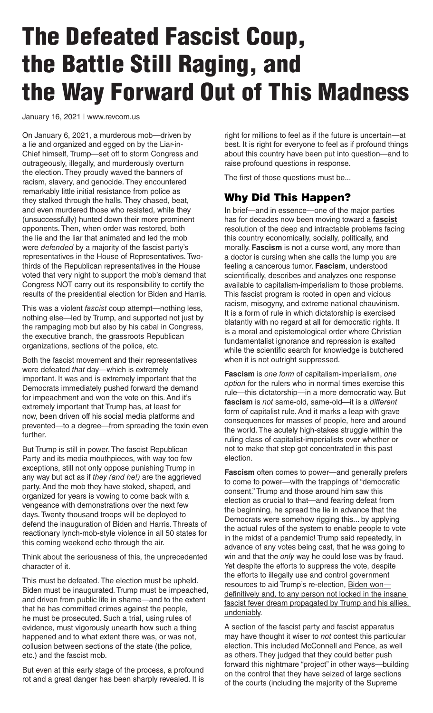## The Defeated Fascist Coup, the Battle Still Raging, and the Way Forward Out of This Madness

January 16, 2021 | www.revcom.us

On January 6, 2021, a murderous mob—driven by a lie and organized and egged on by the Liar-in-Chief himself, Trump—set off to storm Congress and outrageously, illegally, and murderously overturn the election. They proudly waved the banners of racism, slavery, and genocide. They encountered remarkably little initial resistance from police as they stalked through the halls. They chased, beat, and even murdered those who resisted, while they (unsuccessfully) hunted down their more prominent opponents. Then, when order was restored, both the lie and the liar that animated and led the mob were *defended* by a majority of the fascist party's representatives in the House of Representatives. Twothirds of the Republican representatives in the House voted that very night to support the mob's demand that Congress NOT carry out its responsibility to certify the results of the presidential election for Biden and Harris.

This was a violent *fascist* coup attempt—nothing less, nothing else—led by Trump, and supported not just by the rampaging mob but also by his cabal in Congress, the executive branch, the grassroots Republican organizations, sections of the police, etc.

Both the fascist movement and their representatives were defeated *that* day—which is extremely important. It was and is extremely important that the Democrats immediately pushed forward the demand for impeachment and won the vote on this. And it's extremely important that Trump has, at least for now, been driven off his social media platforms and prevented—to a degree—from spreading the toxin even further.

But Trump is still in power. The fascist Republican Party and its media mouthpieces, with way too few exceptions, still not only oppose punishing Trump in any way but act as if *they (and he!)* are the aggrieved party. And the mob they have stoked, shaped, and organized for years is vowing to come back with a vengeance with demonstrations over the next few days. Twenty thousand troops will be deployed to defend the inauguration of Biden and Harris. Threats of reactionary lynch-mob-style violence in all 50 states for this coming weekend echo through the air.

Think about the seriousness of this, the unprecedented character of it.

This must be defeated. The election must be upheld. Biden must be inaugurated. Trump must be impeached, and driven from public life in shame—and to the extent that he has committed crimes against the people, he must be prosecuted. Such a trial, using rules of evidence, must vigorously unearth how such a thing happened and to what extent there was, or was not, collusion between sections of the state (the police, etc.) and the fascist mob.

But even at this early stage of the process, a profound rot and a great danger has been sharply revealed. It is

right for millions to feel as if the future is uncertain—at best. It is right for everyone to feel as if profound things about this country have been put into question—and to raise profound questions in response.

The first of those questions must be...

## Why Did This Happen?

In brief—and in essence—one of the major parties has for decades now been moving toward a **fascist** resolution of the deep and intractable problems facing this country economically, socially, politically, and morally. **Fascism** is not a curse word, any more than a doctor is cursing when she calls the lump you are feeling a cancerous tumor. **Fascism**, understood scientifically, describes and analyzes one response available to capitalism-imperialism to those problems. This fascist program is rooted in open and vicious racism, misogyny, and extreme national chauvinism. It is a form of rule in which dictatorship is exercised blatantly with no regard at all for democratic rights. It is a moral and epistemological order where Christian fundamentalist ignorance and repression is exalted while the scientific search for knowledge is butchered when it is not outright suppressed.

**Fascism** is *one form* of capitalism-imperialism, *one option* for the rulers who in normal times exercise this rule—this dictatorship—in a more democratic way. But **fascism** is *not* same-old, same-old—it is a *different*  form of capitalist rule. And it marks a leap with grave consequences for masses of people, here and around the world. The acutely high-stakes struggle within the ruling class of capitalist-imperialists over whether or not to make that step got concentrated in this past election.

**Fascism** often comes to power—and generally prefers to come to power—with the trappings of "democratic consent." Trump and those around him saw this election as crucial to that—and fearing defeat from the beginning, he spread the lie in advance that the Democrats were somehow rigging this... by applying the actual rules of the system to enable people to vote in the midst of a pandemic! Trump said repeatedly, in advance of any votes being cast, that he was going to win and that the *only* way he could lose was by fraud. Yet despite the efforts to suppress the vote, despite the efforts to illegally use and control government resources to aid Trump's re-election, Biden won definitively and, to any person not locked in the insane fascist fever dream propagated by Trump and his allies, undeniably.

A section of the fascist party and fascist apparatus may have thought it wiser to *not* contest this particular election. This included McConnell and Pence, as well as others. They judged that they could better push forward this nightmare "project" in other ways—building on the control that they have seized of large sections of the courts (including the majority of the Supreme